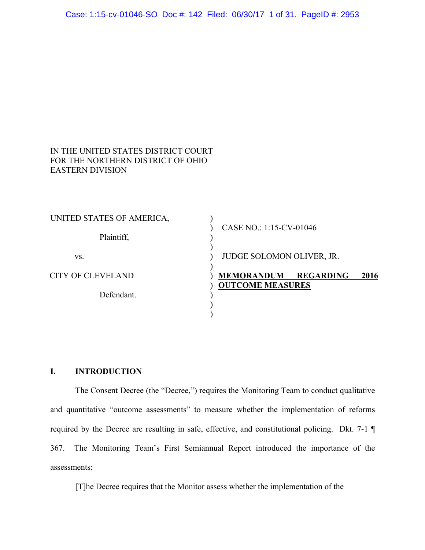| IN THE UNITED STATES DISTRICT COURT |
|-------------------------------------|
| FOR THE NORTHERN DISTRICT OF OHIO   |
| <b>EASTERN DIVISION</b>             |

| UNITED STATES OF AMERICA, |                                                                          |
|---------------------------|--------------------------------------------------------------------------|
| Plaintiff,                | CASE NO.: 1:15-CV-01046                                                  |
| VS.                       | <b>JUDGE SOLOMON OLIVER, JR.</b>                                         |
| <b>CITY OF CLEVELAND</b>  | <b>MEMORANDUM</b><br><b>REGARDING</b><br>2016<br><b>OUTCOME MEASURES</b> |
| Defendant.                |                                                                          |
|                           |                                                                          |

## **I. INTRODUCTION**

The Consent Decree (the "Decree,") requires the Monitoring Team to conduct qualitative and quantitative "outcome assessments" to measure whether the implementation of reforms required by the Decree are resulting in safe, effective, and constitutional policing. Dkt. 7-1 ¶ 367. The Monitoring Team's First Semiannual Report introduced the importance of the assessments:

[T]he Decree requires that the Monitor assess whether the implementation of the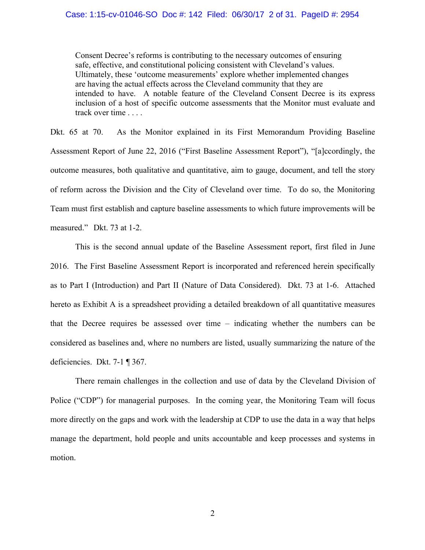Consent Decree's reforms is contributing to the necessary outcomes of ensuring safe, effective, and constitutional policing consistent with Cleveland's values. Ultimately, these 'outcome measurements' explore whether implemented changes are having the actual effects across the Cleveland community that they are intended to have. A notable feature of the Cleveland Consent Decree is its express inclusion of a host of specific outcome assessments that the Monitor must evaluate and track over time . . . .

Dkt. 65 at 70. As the Monitor explained in its First Memorandum Providing Baseline Assessment Report of June 22, 2016 ("First Baseline Assessment Report"), "[a]ccordingly, the outcome measures, both qualitative and quantitative, aim to gauge, document, and tell the story of reform across the Division and the City of Cleveland over time. To do so, the Monitoring Team must first establish and capture baseline assessments to which future improvements will be measured." Dkt. 73 at 1-2.

This is the second annual update of the Baseline Assessment report, first filed in June 2016. The First Baseline Assessment Report is incorporated and referenced herein specifically as to Part I (Introduction) and Part II (Nature of Data Considered). Dkt. 73 at 1-6. Attached hereto as Exhibit A is a spreadsheet providing a detailed breakdown of all quantitative measures that the Decree requires be assessed over time – indicating whether the numbers can be considered as baselines and, where no numbers are listed, usually summarizing the nature of the deficiencies. Dkt. 7-1 ¶ 367.

There remain challenges in the collection and use of data by the Cleveland Division of Police ("CDP") for managerial purposes. In the coming year, the Monitoring Team will focus more directly on the gaps and work with the leadership at CDP to use the data in a way that helps manage the department, hold people and units accountable and keep processes and systems in motion.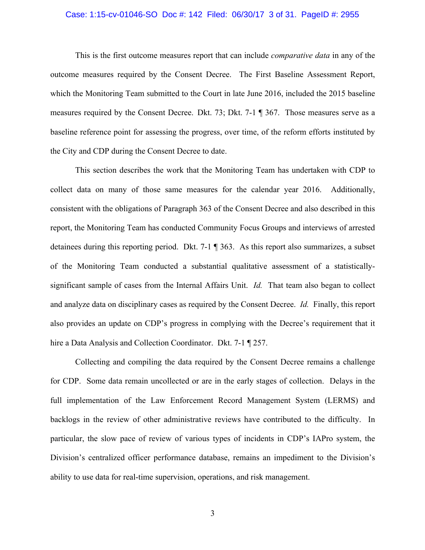#### Case: 1:15-cv-01046-SO Doc #: 142 Filed: 06/30/17 3 of 31. PageID #: 2955

This is the first outcome measures report that can include *comparative data* in any of the outcome measures required by the Consent Decree. The First Baseline Assessment Report, which the Monitoring Team submitted to the Court in late June 2016, included the 2015 baseline measures required by the Consent Decree. Dkt. 73; Dkt. 7-1 ¶ 367. Those measures serve as a baseline reference point for assessing the progress, over time, of the reform efforts instituted by the City and CDP during the Consent Decree to date.

This section describes the work that the Monitoring Team has undertaken with CDP to collect data on many of those same measures for the calendar year 2016. Additionally, consistent with the obligations of Paragraph 363 of the Consent Decree and also described in this report, the Monitoring Team has conducted Community Focus Groups and interviews of arrested detainees during this reporting period. Dkt. 7-1 ¶ 363. As this report also summarizes, a subset of the Monitoring Team conducted a substantial qualitative assessment of a statisticallysignificant sample of cases from the Internal Affairs Unit. *Id.* That team also began to collect and analyze data on disciplinary cases as required by the Consent Decree. *Id.* Finally, this report also provides an update on CDP's progress in complying with the Decree's requirement that it hire a Data Analysis and Collection Coordinator. Dkt. 7-1 ¶ 257.

Collecting and compiling the data required by the Consent Decree remains a challenge for CDP. Some data remain uncollected or are in the early stages of collection. Delays in the full implementation of the Law Enforcement Record Management System (LERMS) and backlogs in the review of other administrative reviews have contributed to the difficulty. In particular, the slow pace of review of various types of incidents in CDP's IAPro system, the Division's centralized officer performance database, remains an impediment to the Division's ability to use data for real-time supervision, operations, and risk management.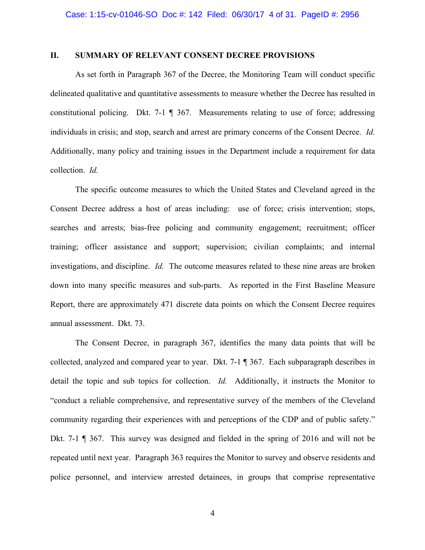### **II. SUMMARY OF RELEVANT CONSENT DECREE PROVISIONS**

As set forth in Paragraph 367 of the Decree, the Monitoring Team will conduct specific delineated qualitative and quantitative assessments to measure whether the Decree has resulted in constitutional policing. Dkt. 7-1 ¶ 367. Measurements relating to use of force; addressing individuals in crisis; and stop, search and arrest are primary concerns of the Consent Decree. *Id.* Additionally, many policy and training issues in the Department include a requirement for data collection. *Id.*

The specific outcome measures to which the United States and Cleveland agreed in the Consent Decree address a host of areas including: use of force; crisis intervention; stops, searches and arrests; bias-free policing and community engagement; recruitment; officer training; officer assistance and support; supervision; civilian complaints; and internal investigations, and discipline. *Id.* The outcome measures related to these nine areas are broken down into many specific measures and sub-parts. As reported in the First Baseline Measure Report, there are approximately 471 discrete data points on which the Consent Decree requires annual assessment. Dkt. 73.

The Consent Decree, in paragraph 367, identifies the many data points that will be collected, analyzed and compared year to year. Dkt. 7-1 ¶ 367. Each subparagraph describes in detail the topic and sub topics for collection. *Id.* Additionally, it instructs the Monitor to "conduct a reliable comprehensive, and representative survey of the members of the Cleveland community regarding their experiences with and perceptions of the CDP and of public safety." Dkt. 7-1 ¶ 367. This survey was designed and fielded in the spring of 2016 and will not be repeated until next year. Paragraph 363 requires the Monitor to survey and observe residents and police personnel, and interview arrested detainees, in groups that comprise representative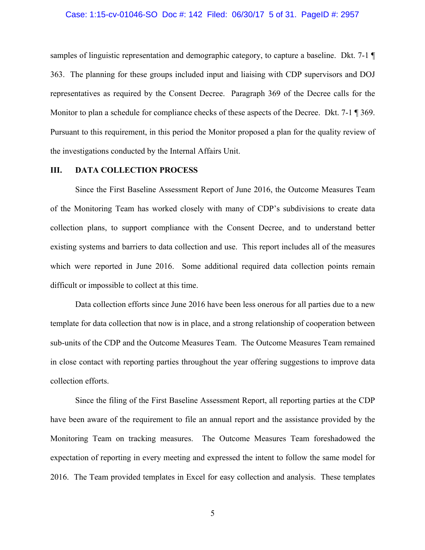#### Case: 1:15-cv-01046-SO Doc #: 142 Filed: 06/30/17 5 of 31. PageID #: 2957

samples of linguistic representation and demographic category, to capture a baseline. Dkt. 7-1 ¶ 363. The planning for these groups included input and liaising with CDP supervisors and DOJ representatives as required by the Consent Decree. Paragraph 369 of the Decree calls for the Monitor to plan a schedule for compliance checks of these aspects of the Decree. Dkt. 7-1 ¶ 369. Pursuant to this requirement, in this period the Monitor proposed a plan for the quality review of the investigations conducted by the Internal Affairs Unit.

## **III. DATA COLLECTION PROCESS**

Since the First Baseline Assessment Report of June 2016, the Outcome Measures Team of the Monitoring Team has worked closely with many of CDP's subdivisions to create data collection plans, to support compliance with the Consent Decree, and to understand better existing systems and barriers to data collection and use. This report includes all of the measures which were reported in June 2016. Some additional required data collection points remain difficult or impossible to collect at this time.

Data collection efforts since June 2016 have been less onerous for all parties due to a new template for data collection that now is in place, and a strong relationship of cooperation between sub-units of the CDP and the Outcome Measures Team. The Outcome Measures Team remained in close contact with reporting parties throughout the year offering suggestions to improve data collection efforts.

Since the filing of the First Baseline Assessment Report, all reporting parties at the CDP have been aware of the requirement to file an annual report and the assistance provided by the Monitoring Team on tracking measures. The Outcome Measures Team foreshadowed the expectation of reporting in every meeting and expressed the intent to follow the same model for 2016. The Team provided templates in Excel for easy collection and analysis. These templates

5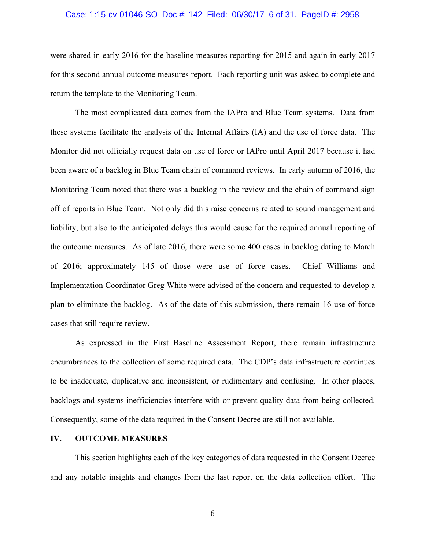#### Case: 1:15-cv-01046-SO Doc #: 142 Filed: 06/30/17 6 of 31. PageID #: 2958

were shared in early 2016 for the baseline measures reporting for 2015 and again in early 2017 for this second annual outcome measures report. Each reporting unit was asked to complete and return the template to the Monitoring Team.

The most complicated data comes from the IAPro and Blue Team systems. Data from these systems facilitate the analysis of the Internal Affairs (IA) and the use of force data. The Monitor did not officially request data on use of force or IAPro until April 2017 because it had been aware of a backlog in Blue Team chain of command reviews. In early autumn of 2016, the Monitoring Team noted that there was a backlog in the review and the chain of command sign off of reports in Blue Team. Not only did this raise concerns related to sound management and liability, but also to the anticipated delays this would cause for the required annual reporting of the outcome measures. As of late 2016, there were some 400 cases in backlog dating to March of 2016; approximately 145 of those were use of force cases. Chief Williams and Implementation Coordinator Greg White were advised of the concern and requested to develop a plan to eliminate the backlog. As of the date of this submission, there remain 16 use of force cases that still require review.

As expressed in the First Baseline Assessment Report, there remain infrastructure encumbrances to the collection of some required data. The CDP's data infrastructure continues to be inadequate, duplicative and inconsistent, or rudimentary and confusing. In other places, backlogs and systems inefficiencies interfere with or prevent quality data from being collected. Consequently, some of the data required in the Consent Decree are still not available.

#### **IV. OUTCOME MEASURES**

This section highlights each of the key categories of data requested in the Consent Decree and any notable insights and changes from the last report on the data collection effort. The

6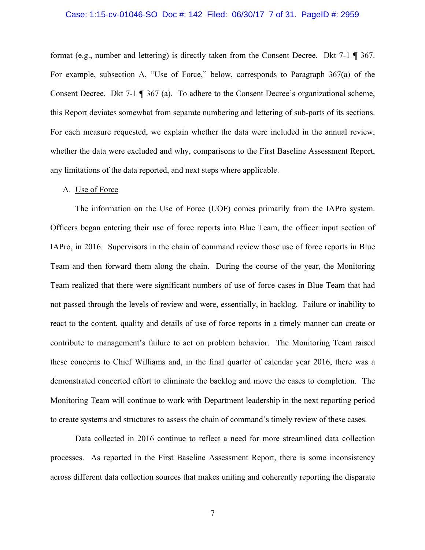#### Case: 1:15-cv-01046-SO Doc #: 142 Filed: 06/30/17 7 of 31. PageID #: 2959

format (e.g., number and lettering) is directly taken from the Consent Decree. Dkt 7-1 **¶** 367. For example, subsection A, "Use of Force," below, corresponds to Paragraph 367(a) of the Consent Decree. Dkt 7-1 **¶** 367 (a). To adhere to the Consent Decree's organizational scheme, this Report deviates somewhat from separate numbering and lettering of sub-parts of its sections. For each measure requested, we explain whether the data were included in the annual review, whether the data were excluded and why, comparisons to the First Baseline Assessment Report, any limitations of the data reported, and next steps where applicable.

## A. Use of Force

The information on the Use of Force (UOF) comes primarily from the IAPro system. Officers began entering their use of force reports into Blue Team, the officer input section of IAPro, in 2016. Supervisors in the chain of command review those use of force reports in Blue Team and then forward them along the chain. During the course of the year, the Monitoring Team realized that there were significant numbers of use of force cases in Blue Team that had not passed through the levels of review and were, essentially, in backlog. Failure or inability to react to the content, quality and details of use of force reports in a timely manner can create or contribute to management's failure to act on problem behavior. The Monitoring Team raised these concerns to Chief Williams and, in the final quarter of calendar year 2016, there was a demonstrated concerted effort to eliminate the backlog and move the cases to completion. The Monitoring Team will continue to work with Department leadership in the next reporting period to create systems and structures to assess the chain of command's timely review of these cases.

Data collected in 2016 continue to reflect a need for more streamlined data collection processes. As reported in the First Baseline Assessment Report, there is some inconsistency across different data collection sources that makes uniting and coherently reporting the disparate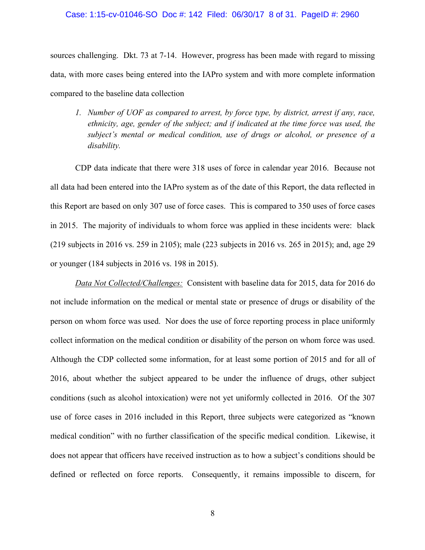#### Case: 1:15-cv-01046-SO Doc #: 142 Filed: 06/30/17 8 of 31. PageID #: 2960

sources challenging. Dkt. 73 at 7-14. However, progress has been made with regard to missing data, with more cases being entered into the IAPro system and with more complete information compared to the baseline data collection

*1. Number of UOF as compared to arrest, by force type, by district, arrest if any, race, ethnicity, age, gender of the subject; and if indicated at the time force was used, the subject's mental or medical condition, use of drugs or alcohol, or presence of a disability.* 

CDP data indicate that there were 318 uses of force in calendar year 2016. Because not all data had been entered into the IAPro system as of the date of this Report, the data reflected in this Report are based on only 307 use of force cases. This is compared to 350 uses of force cases in 2015. The majority of individuals to whom force was applied in these incidents were: black (219 subjects in 2016 vs. 259 in 2105); male (223 subjects in 2016 vs. 265 in 2015); and, age 29 or younger (184 subjects in 2016 vs. 198 in 2015).

*Data Not Collected/Challenges:* Consistent with baseline data for 2015, data for 2016 do not include information on the medical or mental state or presence of drugs or disability of the person on whom force was used. Nor does the use of force reporting process in place uniformly collect information on the medical condition or disability of the person on whom force was used. Although the CDP collected some information, for at least some portion of 2015 and for all of 2016, about whether the subject appeared to be under the influence of drugs, other subject conditions (such as alcohol intoxication) were not yet uniformly collected in 2016. Of the 307 use of force cases in 2016 included in this Report, three subjects were categorized as "known medical condition" with no further classification of the specific medical condition. Likewise, it does not appear that officers have received instruction as to how a subject's conditions should be defined or reflected on force reports. Consequently, it remains impossible to discern, for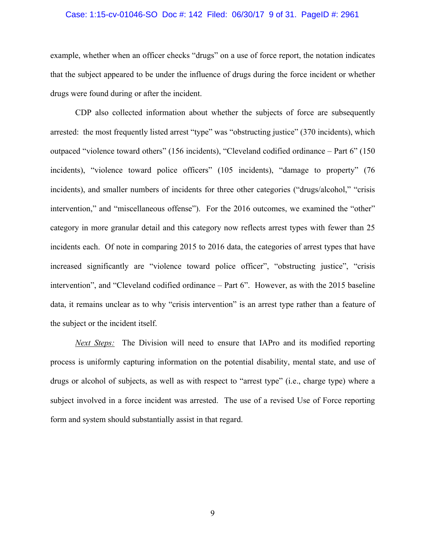#### Case: 1:15-cv-01046-SO Doc #: 142 Filed: 06/30/17 9 of 31. PageID #: 2961

example, whether when an officer checks "drugs" on a use of force report, the notation indicates that the subject appeared to be under the influence of drugs during the force incident or whether drugs were found during or after the incident.

CDP also collected information about whether the subjects of force are subsequently arrested: the most frequently listed arrest "type" was "obstructing justice" (370 incidents), which outpaced "violence toward others" (156 incidents), "Cleveland codified ordinance – Part 6" (150 incidents), "violence toward police officers" (105 incidents), "damage to property" (76 incidents), and smaller numbers of incidents for three other categories ("drugs/alcohol," "crisis intervention," and "miscellaneous offense"). For the 2016 outcomes, we examined the "other" category in more granular detail and this category now reflects arrest types with fewer than 25 incidents each. Of note in comparing 2015 to 2016 data, the categories of arrest types that have increased significantly are "violence toward police officer", "obstructing justice", "crisis intervention", and "Cleveland codified ordinance – Part 6". However, as with the 2015 baseline data, it remains unclear as to why "crisis intervention" is an arrest type rather than a feature of the subject or the incident itself.

*Next Steps:* The Division will need to ensure that IAPro and its modified reporting process is uniformly capturing information on the potential disability, mental state, and use of drugs or alcohol of subjects, as well as with respect to "arrest type" (i.e., charge type) where a subject involved in a force incident was arrested. The use of a revised Use of Force reporting form and system should substantially assist in that regard.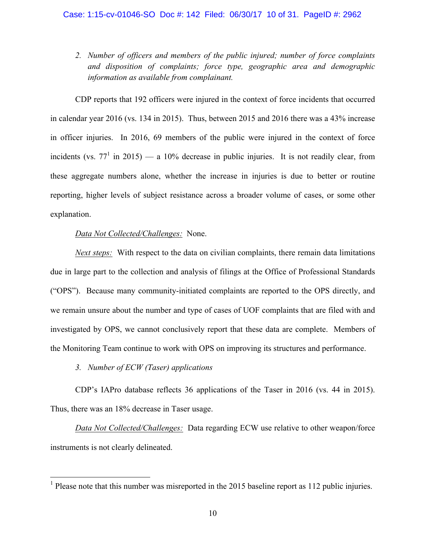*2. Number of officers and members of the public injured; number of force complaints and disposition of complaints; force type, geographic area and demographic information as available from complainant.* 

CDP reports that 192 officers were injured in the context of force incidents that occurred in calendar year 2016 (vs. 134 in 2015). Thus, between 2015 and 2016 there was a 43% increase in officer injuries. In 2016, 69 members of the public were injured in the context of force incidents (vs.  $77<sup>1</sup>$  in 2015) — a 10% decrease in public injuries. It is not readily clear, from these aggregate numbers alone, whether the increase in injuries is due to better or routine reporting, higher levels of subject resistance across a broader volume of cases, or some other explanation.

## *Data Not Collected/Challenges:* None.

*Next steps:* With respect to the data on civilian complaints, there remain data limitations due in large part to the collection and analysis of filings at the Office of Professional Standards ("OPS"). Because many community-initiated complaints are reported to the OPS directly, and we remain unsure about the number and type of cases of UOF complaints that are filed with and investigated by OPS, we cannot conclusively report that these data are complete. Members of the Monitoring Team continue to work with OPS on improving its structures and performance.

*3. Number of ECW (Taser) applications*

CDP's IAPro database reflects 36 applications of the Taser in 2016 (vs. 44 in 2015). Thus, there was an 18% decrease in Taser usage.

*Data Not Collected/Challenges:* Data regarding ECW use relative to other weapon/force instruments is not clearly delineated.

<sup>&</sup>lt;sup>1</sup> Please note that this number was misreported in the 2015 baseline report as 112 public injuries.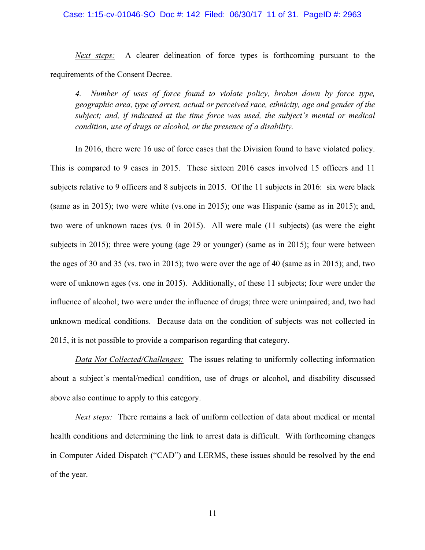### Case: 1:15-cv-01046-SO Doc #: 142 Filed: 06/30/17 11 of 31. PageID #: 2963

*Next steps:* A clearer delineation of force types is forthcoming pursuant to the requirements of the Consent Decree.

*4. Number of uses of force found to violate policy, broken down by force type, geographic area, type of arrest, actual or perceived race, ethnicity, age and gender of the subject; and, if indicated at the time force was used, the subject's mental or medical condition, use of drugs or alcohol, or the presence of a disability.* 

In 2016, there were 16 use of force cases that the Division found to have violated policy. This is compared to 9 cases in 2015. These sixteen 2016 cases involved 15 officers and 11 subjects relative to 9 officers and 8 subjects in 2015. Of the 11 subjects in 2016: six were black (same as in 2015); two were white (vs.one in 2015); one was Hispanic (same as in 2015); and, two were of unknown races (vs. 0 in 2015). All were male (11 subjects) (as were the eight subjects in 2015); three were young (age 29 or younger) (same as in 2015); four were between the ages of 30 and 35 (vs. two in 2015); two were over the age of 40 (same as in 2015); and, two were of unknown ages (vs. one in 2015). Additionally, of these 11 subjects; four were under the influence of alcohol; two were under the influence of drugs; three were unimpaired; and, two had unknown medical conditions. Because data on the condition of subjects was not collected in 2015, it is not possible to provide a comparison regarding that category.

*Data Not Collected/Challenges:* The issues relating to uniformly collecting information about a subject's mental/medical condition, use of drugs or alcohol, and disability discussed above also continue to apply to this category.

*Next steps:* There remains a lack of uniform collection of data about medical or mental health conditions and determining the link to arrest data is difficult. With forthcoming changes in Computer Aided Dispatch ("CAD") and LERMS, these issues should be resolved by the end of the year.

11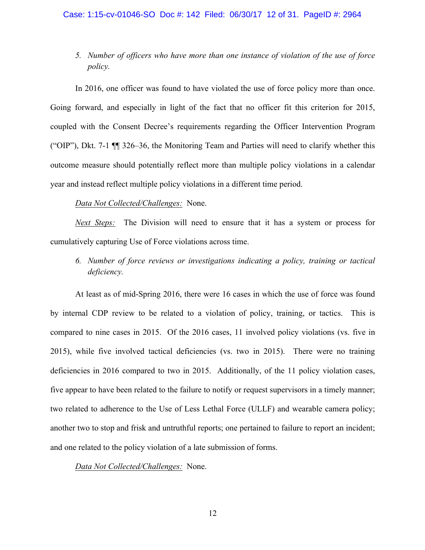*5. Number of officers who have more than one instance of violation of the use of force policy.*

In 2016, one officer was found to have violated the use of force policy more than once. Going forward, and especially in light of the fact that no officer fit this criterion for 2015, coupled with the Consent Decree's requirements regarding the Officer Intervention Program ("OIP"), Dkt. 7-1 ¶¶ 326–36, the Monitoring Team and Parties will need to clarify whether this outcome measure should potentially reflect more than multiple policy violations in a calendar year and instead reflect multiple policy violations in a different time period.

## *Data Not Collected/Challenges:* None.

*Next Steps:* The Division will need to ensure that it has a system or process for cumulatively capturing Use of Force violations across time.

*6. Number of force reviews or investigations indicating a policy, training or tactical deficiency.* 

At least as of mid-Spring 2016, there were 16 cases in which the use of force was found by internal CDP review to be related to a violation of policy, training, or tactics. This is compared to nine cases in 2015. Of the 2016 cases, 11 involved policy violations (vs. five in 2015), while five involved tactical deficiencies (vs. two in 2015). There were no training deficiencies in 2016 compared to two in 2015. Additionally, of the 11 policy violation cases, five appear to have been related to the failure to notify or request supervisors in a timely manner; two related to adherence to the Use of Less Lethal Force (ULLF) and wearable camera policy; another two to stop and frisk and untruthful reports; one pertained to failure to report an incident; and one related to the policy violation of a late submission of forms.

*Data Not Collected/Challenges:* None.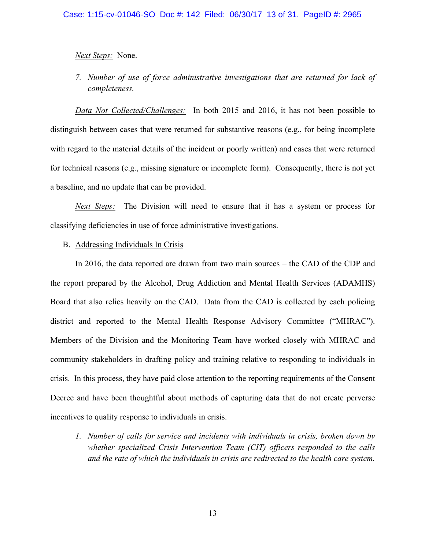## *Next Steps:* None.

*7. Number of use of force administrative investigations that are returned for lack of completeness.* 

*Data Not Collected/Challenges:* In both 2015 and 2016, it has not been possible to distinguish between cases that were returned for substantive reasons (e.g., for being incomplete with regard to the material details of the incident or poorly written) and cases that were returned for technical reasons (e.g., missing signature or incomplete form). Consequently, there is not yet a baseline, and no update that can be provided.

*Next Steps:* The Division will need to ensure that it has a system or process for classifying deficiencies in use of force administrative investigations.

## B. Addressing Individuals In Crisis

In 2016, the data reported are drawn from two main sources – the CAD of the CDP and the report prepared by the Alcohol, Drug Addiction and Mental Health Services (ADAMHS) Board that also relies heavily on the CAD. Data from the CAD is collected by each policing district and reported to the Mental Health Response Advisory Committee ("MHRAC"). Members of the Division and the Monitoring Team have worked closely with MHRAC and community stakeholders in drafting policy and training relative to responding to individuals in crisis. In this process, they have paid close attention to the reporting requirements of the Consent Decree and have been thoughtful about methods of capturing data that do not create perverse incentives to quality response to individuals in crisis.

*1. Number of calls for service and incidents with individuals in crisis, broken down by whether specialized Crisis Intervention Team (CIT) officers responded to the calls and the rate of which the individuals in crisis are redirected to the health care system.*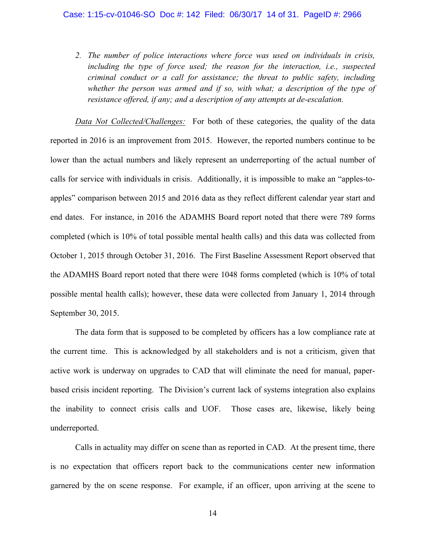*2. The number of police interactions where force was used on individuals in crisis, including the type of force used; the reason for the interaction, i.e., suspected criminal conduct or a call for assistance; the threat to public safety, including*  whether the person was armed and if so, with what; a description of the type of *resistance offered, if any; and a description of any attempts at de-escalation.* 

*Data Not Collected/Challenges:* For both of these categories, the quality of the data reported in 2016 is an improvement from 2015. However, the reported numbers continue to be lower than the actual numbers and likely represent an underreporting of the actual number of calls for service with individuals in crisis. Additionally, it is impossible to make an "apples-toapples" comparison between 2015 and 2016 data as they reflect different calendar year start and end dates. For instance, in 2016 the ADAMHS Board report noted that there were 789 forms completed (which is 10% of total possible mental health calls) and this data was collected from October 1, 2015 through October 31, 2016. The First Baseline Assessment Report observed that the ADAMHS Board report noted that there were 1048 forms completed (which is 10% of total possible mental health calls); however, these data were collected from January 1, 2014 through September 30, 2015.

The data form that is supposed to be completed by officers has a low compliance rate at the current time. This is acknowledged by all stakeholders and is not a criticism, given that active work is underway on upgrades to CAD that will eliminate the need for manual, paperbased crisis incident reporting. The Division's current lack of systems integration also explains the inability to connect crisis calls and UOF. Those cases are, likewise, likely being underreported.

Calls in actuality may differ on scene than as reported in CAD. At the present time, there is no expectation that officers report back to the communications center new information garnered by the on scene response. For example, if an officer, upon arriving at the scene to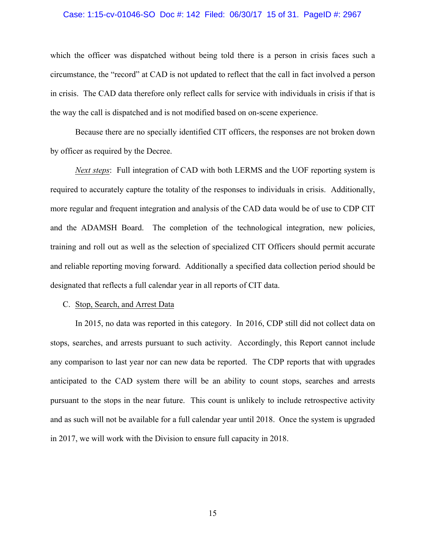#### Case: 1:15-cv-01046-SO Doc #: 142 Filed: 06/30/17 15 of 31. PageID #: 2967

which the officer was dispatched without being told there is a person in crisis faces such a circumstance, the "record" at CAD is not updated to reflect that the call in fact involved a person in crisis. The CAD data therefore only reflect calls for service with individuals in crisis if that is the way the call is dispatched and is not modified based on on-scene experience.

Because there are no specially identified CIT officers, the responses are not broken down by officer as required by the Decree.

*Next steps*: Full integration of CAD with both LERMS and the UOF reporting system is required to accurately capture the totality of the responses to individuals in crisis. Additionally, more regular and frequent integration and analysis of the CAD data would be of use to CDP CIT and the ADAMSH Board. The completion of the technological integration, new policies, training and roll out as well as the selection of specialized CIT Officers should permit accurate and reliable reporting moving forward. Additionally a specified data collection period should be designated that reflects a full calendar year in all reports of CIT data.

#### C. Stop, Search, and Arrest Data

In 2015, no data was reported in this category. In 2016, CDP still did not collect data on stops, searches, and arrests pursuant to such activity. Accordingly, this Report cannot include any comparison to last year nor can new data be reported. The CDP reports that with upgrades anticipated to the CAD system there will be an ability to count stops, searches and arrests pursuant to the stops in the near future. This count is unlikely to include retrospective activity and as such will not be available for a full calendar year until 2018. Once the system is upgraded in 2017, we will work with the Division to ensure full capacity in 2018.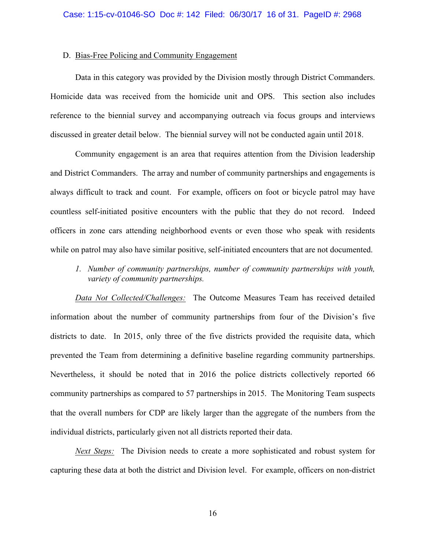### D. Bias-Free Policing and Community Engagement

Data in this category was provided by the Division mostly through District Commanders. Homicide data was received from the homicide unit and OPS. This section also includes reference to the biennial survey and accompanying outreach via focus groups and interviews discussed in greater detail below. The biennial survey will not be conducted again until 2018.

Community engagement is an area that requires attention from the Division leadership and District Commanders. The array and number of community partnerships and engagements is always difficult to track and count. For example, officers on foot or bicycle patrol may have countless self-initiated positive encounters with the public that they do not record. Indeed officers in zone cars attending neighborhood events or even those who speak with residents while on patrol may also have similar positive, self-initiated encounters that are not documented.

*1. Number of community partnerships, number of community partnerships with youth, variety of community partnerships.*

*Data Not Collected/Challenges:* The Outcome Measures Team has received detailed information about the number of community partnerships from four of the Division's five districts to date. In 2015, only three of the five districts provided the requisite data, which prevented the Team from determining a definitive baseline regarding community partnerships. Nevertheless, it should be noted that in 2016 the police districts collectively reported 66 community partnerships as compared to 57 partnerships in 2015. The Monitoring Team suspects that the overall numbers for CDP are likely larger than the aggregate of the numbers from the individual districts, particularly given not all districts reported their data.

*Next Steps:* The Division needs to create a more sophisticated and robust system for capturing these data at both the district and Division level. For example, officers on non-district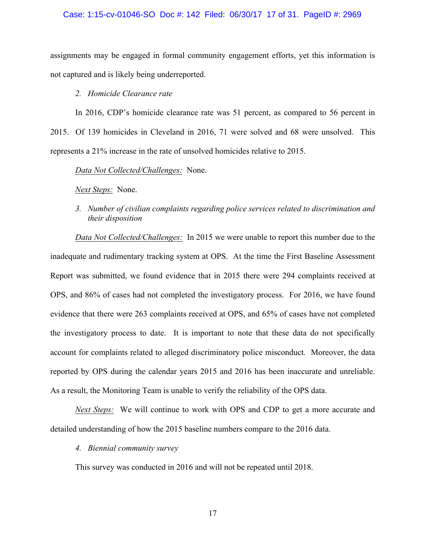### Case: 1:15-cv-01046-SO Doc #: 142 Filed: 06/30/17 17 of 31. PageID #: 2969

assignments may be engaged in formal community engagement efforts, yet this information is not captured and is likely being underreported.

## *2. Homicide Clearance rate*

In 2016, CDP's homicide clearance rate was 51 percent, as compared to 56 percent in 2015. Of 139 homicides in Cleveland in 2016, 71 were solved and 68 were unsolved. This represents a 21% increase in the rate of unsolved homicides relative to 2015.

*Data Not Collected/Challenges:* None.

*Next Steps:* None.

*3. Number of civilian complaints regarding police services related to discrimination and their disposition*

*Data Not Collected/Challenges:* In 2015 we were unable to report this number due to the inadequate and rudimentary tracking system at OPS. At the time the First Baseline Assessment Report was submitted, we found evidence that in 2015 there were 294 complaints received at OPS, and 86% of cases had not completed the investigatory process. For 2016, we have found evidence that there were 263 complaints received at OPS, and 65% of cases have not completed the investigatory process to date. It is important to note that these data do not specifically account for complaints related to alleged discriminatory police misconduct. Moreover, the data reported by OPS during the calendar years 2015 and 2016 has been inaccurate and unreliable. As a result, the Monitoring Team is unable to verify the reliability of the OPS data.

*Next Steps:* We will continue to work with OPS and CDP to get a more accurate and detailed understanding of how the 2015 baseline numbers compare to the 2016 data.

## *4. Biennial community survey*

This survey was conducted in 2016 and will not be repeated until 2018.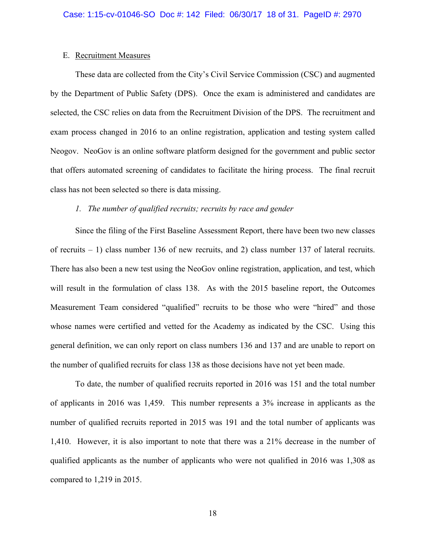## E. Recruitment Measures

These data are collected from the City's Civil Service Commission (CSC) and augmented by the Department of Public Safety (DPS). Once the exam is administered and candidates are selected, the CSC relies on data from the Recruitment Division of the DPS. The recruitment and exam process changed in 2016 to an online registration, application and testing system called Neogov. NeoGov is an online software platform designed for the government and public sector that offers automated screening of candidates to facilitate the hiring process. The final recruit class has not been selected so there is data missing.

## *1. The number of qualified recruits; recruits by race and gender*

Since the filing of the First Baseline Assessment Report, there have been two new classes of recruits – 1) class number 136 of new recruits, and 2) class number 137 of lateral recruits. There has also been a new test using the NeoGov online registration, application, and test, which will result in the formulation of class 138. As with the 2015 baseline report, the Outcomes Measurement Team considered "qualified" recruits to be those who were "hired" and those whose names were certified and vetted for the Academy as indicated by the CSC. Using this general definition, we can only report on class numbers 136 and 137 and are unable to report on the number of qualified recruits for class 138 as those decisions have not yet been made.

To date, the number of qualified recruits reported in 2016 was 151 and the total number of applicants in 2016 was 1,459. This number represents a 3% increase in applicants as the number of qualified recruits reported in 2015 was 191 and the total number of applicants was 1,410. However, it is also important to note that there was a 21% decrease in the number of qualified applicants as the number of applicants who were not qualified in 2016 was 1,308 as compared to 1,219 in 2015.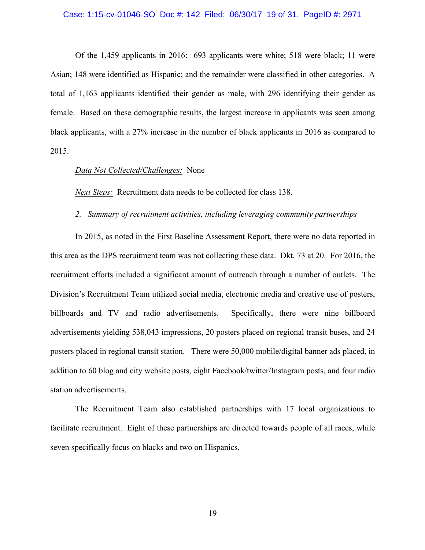#### Case: 1:15-cv-01046-SO Doc #: 142 Filed: 06/30/17 19 of 31. PageID #: 2971

Of the 1,459 applicants in 2016: 693 applicants were white; 518 were black; 11 were Asian; 148 were identified as Hispanic; and the remainder were classified in other categories. A total of 1,163 applicants identified their gender as male, with 296 identifying their gender as female. Based on these demographic results, the largest increase in applicants was seen among black applicants, with a 27% increase in the number of black applicants in 2016 as compared to 2015.

## *Data Not Collected/Challenges:* None

*Next Steps:* Recruitment data needs to be collected for class 138.

## *2. Summary of recruitment activities, including leveraging community partnerships*

In 2015, as noted in the First Baseline Assessment Report, there were no data reported in this area as the DPS recruitment team was not collecting these data. Dkt. 73 at 20. For 2016, the recruitment efforts included a significant amount of outreach through a number of outlets. The Division's Recruitment Team utilized social media, electronic media and creative use of posters, billboards and TV and radio advertisements. Specifically, there were nine billboard advertisements yielding 538,043 impressions, 20 posters placed on regional transit buses, and 24 posters placed in regional transit station. There were 50,000 mobile/digital banner ads placed, in addition to 60 blog and city website posts, eight Facebook/twitter/Instagram posts, and four radio station advertisements.

The Recruitment Team also established partnerships with 17 local organizations to facilitate recruitment. Eight of these partnerships are directed towards people of all races, while seven specifically focus on blacks and two on Hispanics.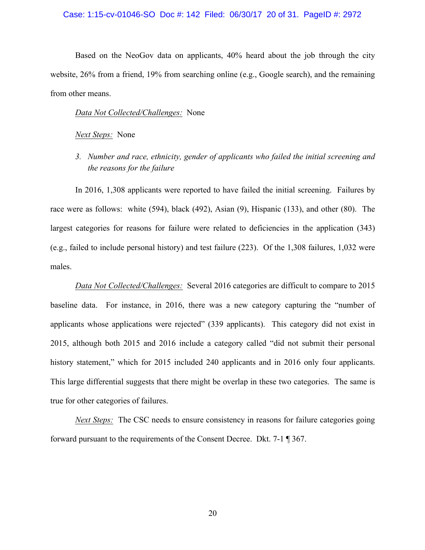#### Case: 1:15-cv-01046-SO Doc #: 142 Filed: 06/30/17 20 of 31. PageID #: 2972

Based on the NeoGov data on applicants, 40% heard about the job through the city website, 26% from a friend, 19% from searching online (e.g., Google search), and the remaining from other means.

## *Data Not Collected/Challenges:* None

#### *Next Steps:* None

*3. Number and race, ethnicity, gender of applicants who failed the initial screening and the reasons for the failure*

In 2016, 1,308 applicants were reported to have failed the initial screening. Failures by race were as follows: white (594), black (492), Asian (9), Hispanic (133), and other (80). The largest categories for reasons for failure were related to deficiencies in the application (343) (e.g., failed to include personal history) and test failure (223). Of the 1,308 failures, 1,032 were males.

*Data Not Collected/Challenges:* Several 2016 categories are difficult to compare to 2015 baseline data. For instance, in 2016, there was a new category capturing the "number of applicants whose applications were rejected" (339 applicants). This category did not exist in 2015, although both 2015 and 2016 include a category called "did not submit their personal history statement," which for 2015 included 240 applicants and in 2016 only four applicants. This large differential suggests that there might be overlap in these two categories. The same is true for other categories of failures.

*Next Steps:* The CSC needs to ensure consistency in reasons for failure categories going forward pursuant to the requirements of the Consent Decree. Dkt. 7-1 ¶ 367.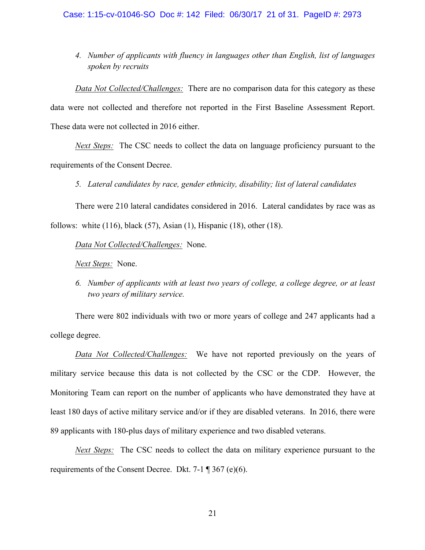*4. Number of applicants with fluency in languages other than English, list of languages spoken by recruits*

*Data Not Collected/Challenges:* There are no comparison data for this category as these data were not collected and therefore not reported in the First Baseline Assessment Report. These data were not collected in 2016 either.

*Next Steps:* The CSC needs to collect the data on language proficiency pursuant to the requirements of the Consent Decree.

*5. Lateral candidates by race, gender ethnicity, disability; list of lateral candidates*

There were 210 lateral candidates considered in 2016. Lateral candidates by race was as follows: white (116), black (57), Asian (1), Hispanic (18), other (18).

*Data Not Collected/Challenges:* None.

*Next Steps:* None.

*6. Number of applicants with at least two years of college, a college degree, or at least two years of military service.*

There were 802 individuals with two or more years of college and 247 applicants had a college degree.

*Data Not Collected/Challenges:* We have not reported previously on the years of military service because this data is not collected by the CSC or the CDP. However, the Monitoring Team can report on the number of applicants who have demonstrated they have at least 180 days of active military service and/or if they are disabled veterans. In 2016, there were 89 applicants with 180-plus days of military experience and two disabled veterans.

*Next Steps:* The CSC needs to collect the data on military experience pursuant to the requirements of the Consent Decree. Dkt. 7-1 ¶ 367 (e)(6).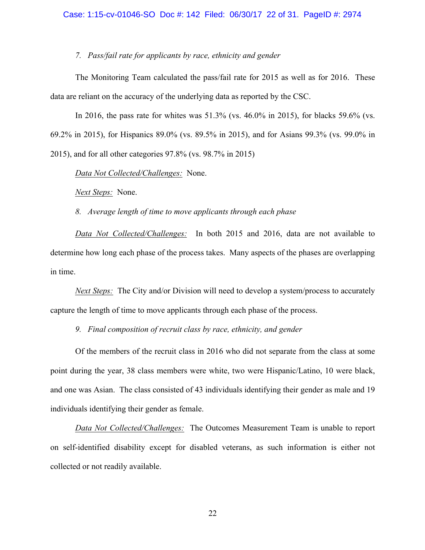## *7. Pass/fail rate for applicants by race, ethnicity and gender*

The Monitoring Team calculated the pass/fail rate for 2015 as well as for 2016. These data are reliant on the accuracy of the underlying data as reported by the CSC.

In 2016, the pass rate for whites was 51.3% (vs. 46.0% in 2015), for blacks 59.6% (vs. 69.2% in 2015), for Hispanics 89.0% (vs. 89.5% in 2015), and for Asians 99.3% (vs. 99.0% in 2015), and for all other categories 97.8% (vs. 98.7% in 2015)

*Data Not Collected/Challenges:* None.

*Next Steps:* None.

*8. Average length of time to move applicants through each phase*

*Data Not Collected/Challenges:* In both 2015 and 2016, data are not available to determine how long each phase of the process takes. Many aspects of the phases are overlapping in time.

*Next Steps:* The City and/or Division will need to develop a system/process to accurately capture the length of time to move applicants through each phase of the process.

*9. Final composition of recruit class by race, ethnicity, and gender*

Of the members of the recruit class in 2016 who did not separate from the class at some point during the year, 38 class members were white, two were Hispanic/Latino, 10 were black, and one was Asian. The class consisted of 43 individuals identifying their gender as male and 19 individuals identifying their gender as female.

*Data Not Collected/Challenges:* The Outcomes Measurement Team is unable to report on self-identified disability except for disabled veterans, as such information is either not collected or not readily available.

22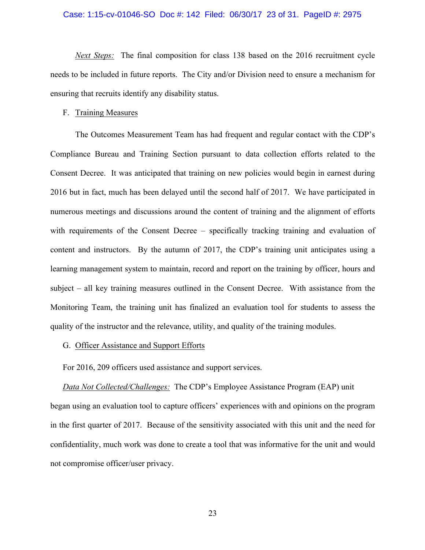#### Case: 1:15-cv-01046-SO Doc #: 142 Filed: 06/30/17 23 of 31. PageID #: 2975

*Next Steps:* The final composition for class 138 based on the 2016 recruitment cycle needs to be included in future reports. The City and/or Division need to ensure a mechanism for ensuring that recruits identify any disability status.

### F. Training Measures

The Outcomes Measurement Team has had frequent and regular contact with the CDP's Compliance Bureau and Training Section pursuant to data collection efforts related to the Consent Decree. It was anticipated that training on new policies would begin in earnest during 2016 but in fact, much has been delayed until the second half of 2017. We have participated in numerous meetings and discussions around the content of training and the alignment of efforts with requirements of the Consent Decree – specifically tracking training and evaluation of content and instructors. By the autumn of 2017, the CDP's training unit anticipates using a learning management system to maintain, record and report on the training by officer, hours and subject – all key training measures outlined in the Consent Decree. With assistance from the Monitoring Team, the training unit has finalized an evaluation tool for students to assess the quality of the instructor and the relevance, utility, and quality of the training modules.

## G. Officer Assistance and Support Efforts

For 2016, 209 officers used assistance and support services.

### *Data Not Collected/Challenges:* The CDP's Employee Assistance Program (EAP) unit

began using an evaluation tool to capture officers' experiences with and opinions on the program in the first quarter of 2017. Because of the sensitivity associated with this unit and the need for confidentiality, much work was done to create a tool that was informative for the unit and would not compromise officer/user privacy.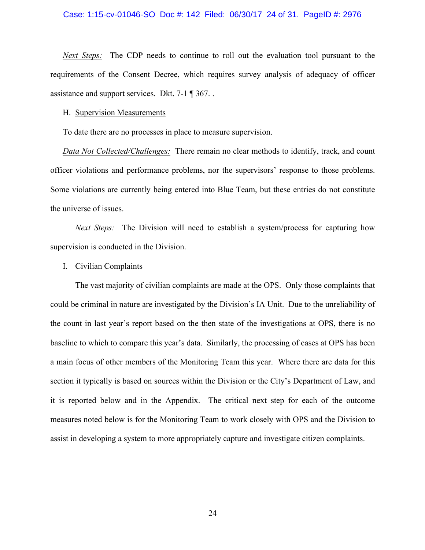#### Case: 1:15-cv-01046-SO Doc #: 142 Filed: 06/30/17 24 of 31. PageID #: 2976

*Next Steps:* The CDP needs to continue to roll out the evaluation tool pursuant to the requirements of the Consent Decree, which requires survey analysis of adequacy of officer assistance and support services. Dkt. 7-1 ¶ 367. .

#### H. Supervision Measurements

To date there are no processes in place to measure supervision.

*Data Not Collected/Challenges:* There remain no clear methods to identify, track, and count officer violations and performance problems, nor the supervisors' response to those problems. Some violations are currently being entered into Blue Team, but these entries do not constitute the universe of issues.

*Next Steps:* The Division will need to establish a system/process for capturing how supervision is conducted in the Division.

#### I. Civilian Complaints

The vast majority of civilian complaints are made at the OPS. Only those complaints that could be criminal in nature are investigated by the Division's IA Unit. Due to the unreliability of the count in last year's report based on the then state of the investigations at OPS, there is no baseline to which to compare this year's data. Similarly, the processing of cases at OPS has been a main focus of other members of the Monitoring Team this year. Where there are data for this section it typically is based on sources within the Division or the City's Department of Law, and it is reported below and in the Appendix. The critical next step for each of the outcome measures noted below is for the Monitoring Team to work closely with OPS and the Division to assist in developing a system to more appropriately capture and investigate citizen complaints.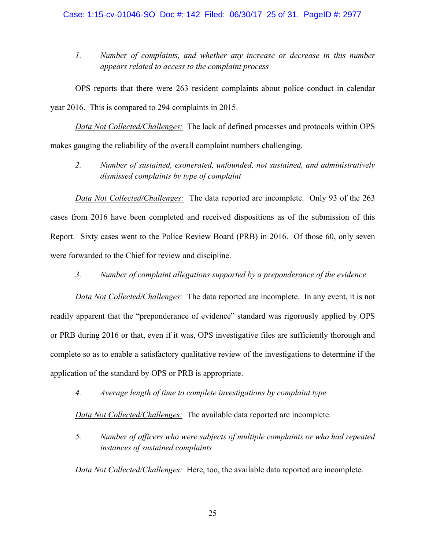*1. Number of complaints, and whether any increase or decrease in this number appears related to access to the complaint process*

OPS reports that there were 263 resident complaints about police conduct in calendar year 2016. This is compared to 294 complaints in 2015.

*Data Not Collected/Challenges:* The lack of defined processes and protocols within OPS makes gauging the reliability of the overall complaint numbers challenging.

*2. Number of sustained, exonerated, unfounded, not sustained, and administratively dismissed complaints by type of complaint*

*Data Not Collected/Challenges:* The data reported are incomplete. Only 93 of the 263 cases from 2016 have been completed and received dispositions as of the submission of this Report. Sixty cases went to the Police Review Board (PRB) in 2016. Of those 60, only seven were forwarded to the Chief for review and discipline.

*3. Number of complaint allegations supported by a preponderance of the evidence*

*Data Not Collected/Challenges:* The data reported are incomplete. In any event, it is not readily apparent that the "preponderance of evidence" standard was rigorously applied by OPS or PRB during 2016 or that, even if it was, OPS investigative files are sufficiently thorough and complete so as to enable a satisfactory qualitative review of the investigations to determine if the application of the standard by OPS or PRB is appropriate.

*4. Average length of time to complete investigations by complaint type* 

*Data Not Collected/Challenges:* The available data reported are incomplete.

*5. Number of officers who were subjects of multiple complaints or who had repeated instances of sustained complaints*

*Data Not Collected/Challenges:* Here, too, the available data reported are incomplete.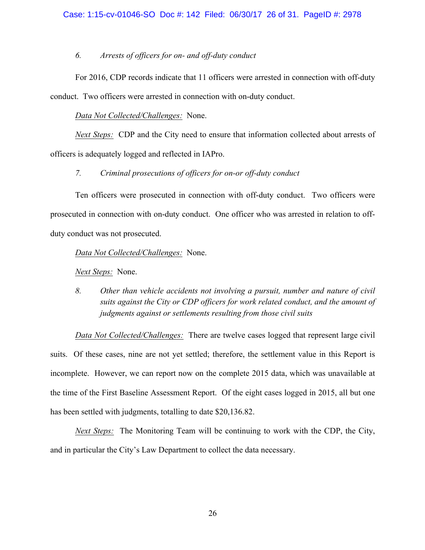## *6. Arrests of officers for on- and off-duty conduct*

For 2016, CDP records indicate that 11 officers were arrested in connection with off-duty conduct. Two officers were arrested in connection with on-duty conduct.

## *Data Not Collected/Challenges:* None.

*Next Steps:* CDP and the City need to ensure that information collected about arrests of officers is adequately logged and reflected in IAPro.

## *7. Criminal prosecutions of officers for on-or off-duty conduct*

Ten officers were prosecuted in connection with off-duty conduct. Two officers were prosecuted in connection with on-duty conduct. One officer who was arrested in relation to offduty conduct was not prosecuted.

*Data Not Collected/Challenges:* None.

*Next Steps:* None.

*8. Other than vehicle accidents not involving a pursuit, number and nature of civil suits against the City or CDP officers for work related conduct, and the amount of judgments against or settlements resulting from those civil suits*

*Data Not Collected/Challenges:* There are twelve cases logged that represent large civil suits. Of these cases, nine are not yet settled; therefore, the settlement value in this Report is incomplete. However, we can report now on the complete 2015 data, which was unavailable at the time of the First Baseline Assessment Report. Of the eight cases logged in 2015, all but one has been settled with judgments, totalling to date \$20,136.82.

*Next Steps:* The Monitoring Team will be continuing to work with the CDP, the City, and in particular the City's Law Department to collect the data necessary.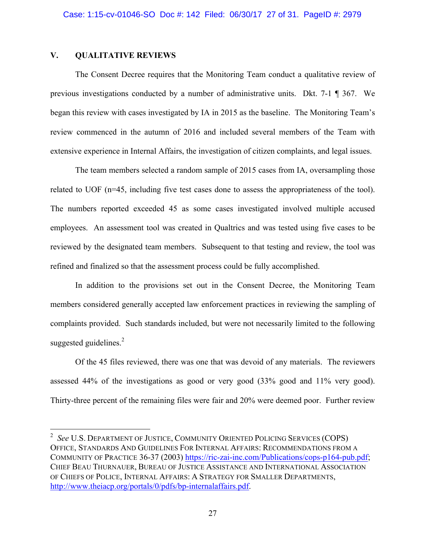## **V. QUALITATIVE REVIEWS**

The Consent Decree requires that the Monitoring Team conduct a qualitative review of previous investigations conducted by a number of administrative units. Dkt. 7-1 ¶ 367. We began this review with cases investigated by IA in 2015 as the baseline. The Monitoring Team's review commenced in the autumn of 2016 and included several members of the Team with extensive experience in Internal Affairs, the investigation of citizen complaints, and legal issues.

The team members selected a random sample of 2015 cases from IA, oversampling those related to UOF (n=45, including five test cases done to assess the appropriateness of the tool). The numbers reported exceeded 45 as some cases investigated involved multiple accused employees. An assessment tool was created in Qualtrics and was tested using five cases to be reviewed by the designated team members. Subsequent to that testing and review, the tool was refined and finalized so that the assessment process could be fully accomplished.

In addition to the provisions set out in the Consent Decree, the Monitoring Team members considered generally accepted law enforcement practices in reviewing the sampling of complaints provided. Such standards included, but were not necessarily limited to the following suggested guidelines.<sup>2</sup>

Of the 45 files reviewed, there was one that was devoid of any materials. The reviewers assessed 44% of the investigations as good or very good (33% good and 11% very good). Thirty-three percent of the remaining files were fair and 20% were deemed poor. Further review

 $\frac{1}{2}$  *See* U.S. DEPARTMENT OF JUSTICE, COMMUNITY ORIENTED POLICING SERVICES (COPS) OFFICE, STANDARDS AND GUIDELINES FOR INTERNAL AFFAIRS: RECOMMENDATIONS FROM A COMMUNITY OF PRACTICE 36-37 (2003) https://ric-zai-inc.com/Publications/cops-p164-pub.pdf; CHIEF BEAU THURNAUER, BUREAU OF JUSTICE ASSISTANCE AND INTERNATIONAL ASSOCIATION OF CHIEFS OF POLICE, INTERNAL AFFAIRS: A STRATEGY FOR SMALLER DEPARTMENTS, http://www.theiacp.org/portals/0/pdfs/bp-internalaffairs.pdf.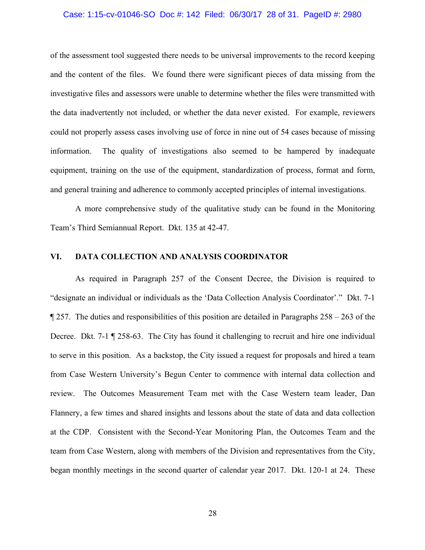#### Case: 1:15-cv-01046-SO Doc #: 142 Filed: 06/30/17 28 of 31. PageID #: 2980

of the assessment tool suggested there needs to be universal improvements to the record keeping and the content of the files. We found there were significant pieces of data missing from the investigative files and assessors were unable to determine whether the files were transmitted with the data inadvertently not included, or whether the data never existed. For example, reviewers could not properly assess cases involving use of force in nine out of 54 cases because of missing information. The quality of investigations also seemed to be hampered by inadequate equipment, training on the use of the equipment, standardization of process, format and form, and general training and adherence to commonly accepted principles of internal investigations.

A more comprehensive study of the qualitative study can be found in the Monitoring Team's Third Semiannual Report. Dkt. 135 at 42-47.

## **VI. DATA COLLECTION AND ANALYSIS COORDINATOR**

As required in Paragraph 257 of the Consent Decree, the Division is required to "designate an individual or individuals as the 'Data Collection Analysis Coordinator'." Dkt. 7-1  $\parallel$  257. The duties and responsibilities of this position are detailed in Paragraphs 258 – 263 of the Decree. Dkt. 7-1 ¶ 258-63. The City has found it challenging to recruit and hire one individual to serve in this position. As a backstop, the City issued a request for proposals and hired a team from Case Western University's Begun Center to commence with internal data collection and review. The Outcomes Measurement Team met with the Case Western team leader, Dan Flannery, a few times and shared insights and lessons about the state of data and data collection at the CDP. Consistent with the Second-Year Monitoring Plan, the Outcomes Team and the team from Case Western, along with members of the Division and representatives from the City, began monthly meetings in the second quarter of calendar year 2017. Dkt. 120-1 at 24. These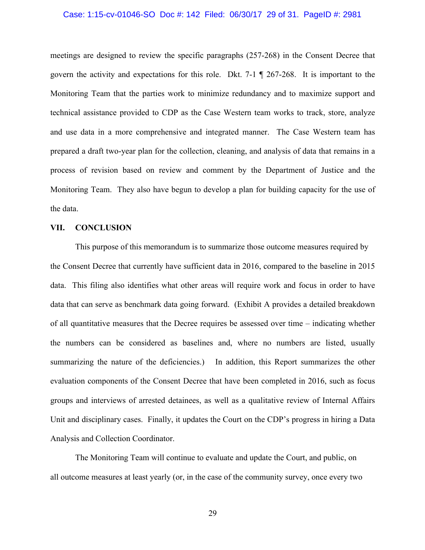#### Case: 1:15-cv-01046-SO Doc #: 142 Filed: 06/30/17 29 of 31. PageID #: 2981

meetings are designed to review the specific paragraphs (257-268) in the Consent Decree that govern the activity and expectations for this role. Dkt. 7-1 ¶ 267-268. It is important to the Monitoring Team that the parties work to minimize redundancy and to maximize support and technical assistance provided to CDP as the Case Western team works to track, store, analyze and use data in a more comprehensive and integrated manner. The Case Western team has prepared a draft two-year plan for the collection, cleaning, and analysis of data that remains in a process of revision based on review and comment by the Department of Justice and the Monitoring Team. They also have begun to develop a plan for building capacity for the use of the data.

## **VII. CONCLUSION**

This purpose of this memorandum is to summarize those outcome measures required by the Consent Decree that currently have sufficient data in 2016, compared to the baseline in 2015 data. This filing also identifies what other areas will require work and focus in order to have data that can serve as benchmark data going forward. (Exhibit A provides a detailed breakdown of all quantitative measures that the Decree requires be assessed over time – indicating whether the numbers can be considered as baselines and, where no numbers are listed, usually summarizing the nature of the deficiencies.) In addition, this Report summarizes the other evaluation components of the Consent Decree that have been completed in 2016, such as focus groups and interviews of arrested detainees, as well as a qualitative review of Internal Affairs Unit and disciplinary cases. Finally, it updates the Court on the CDP's progress in hiring a Data Analysis and Collection Coordinator.

The Monitoring Team will continue to evaluate and update the Court, and public, on all outcome measures at least yearly (or, in the case of the community survey, once every two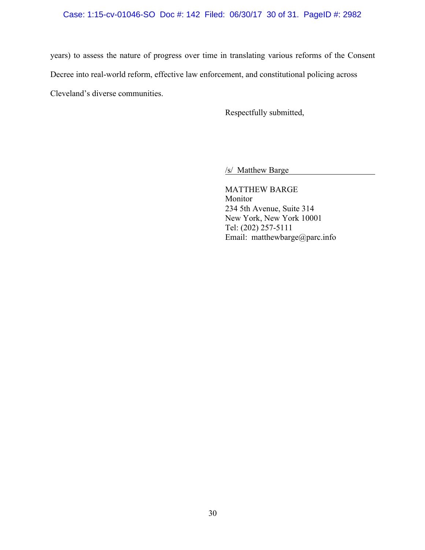## Case: 1:15-cv-01046-SO Doc #: 142 Filed: 06/30/17 30 of 31. PageID #: 2982

years) to assess the nature of progress over time in translating various reforms of the Consent Decree into real-world reform, effective law enforcement, and constitutional policing across Cleveland's diverse communities.

Respectfully submitted,

/s/ Matthew Barge

MATTHEW BARGE Monitor 234 5th Avenue, Suite 314 New York, New York 10001 Tel: (202) 257-5111 Email: matthewbarge@parc.info